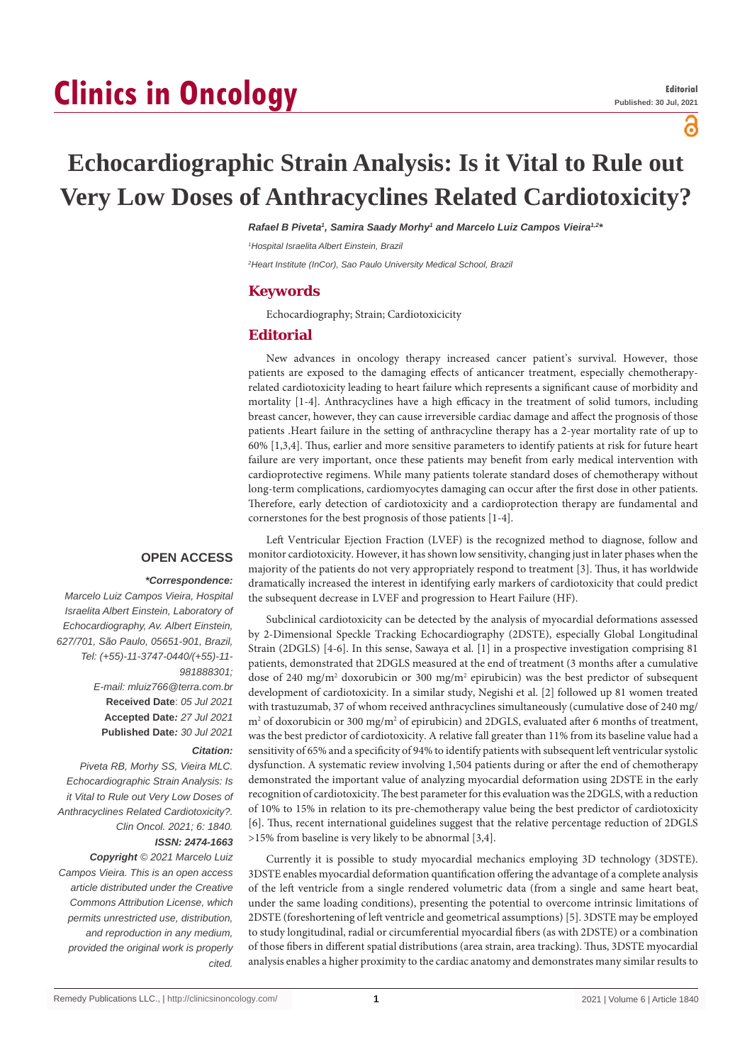# **Clinics in Oncology**

പ്പ

## **Echocardiographic Strain Analysis: Is it Vital to Rule out Very Low Doses of Anthracyclines Related Cardiotoxicity?**

*Rafael B Piveta1 , Samira Saady Morhy1 and Marcelo Luiz Campos Vieira1,2\**

*1 Hospital Israelita Albert Einstein, Brazil*

*2 Heart Institute (InCor), Sao Paulo University Medical School, Brazil*

#### **Keywords**

Echocardiography; Strain; Cardiotoxicicity

#### **Editorial**

New advances in oncology therapy increased cancer patient's survival. However, those patients are exposed to the damaging effects of anticancer treatment, especially chemotherapyrelated cardiotoxicity leading to heart failure which represents a significant cause of morbidity and mortality [1-4]. Anthracyclines have a high efficacy in the treatment of solid tumors, including breast cancer, however, they can cause irreversible cardiac damage and affect the prognosis of those patients .Heart failure in the setting of anthracycline therapy has a 2-year mortality rate of up to 60% [1,3,4]. Thus, earlier and more sensitive parameters to identify patients at risk for future heart failure are very important, once these patients may benefit from early medical intervention with cardioprotective regimens. While many patients tolerate standard doses of chemotherapy without long-term complications, cardiomyocytes damaging can occur after the first dose in other patients. Therefore, early detection of cardiotoxicity and a cardioprotection therapy are fundamental and cornerstones for the best prognosis of those patients [1-4].

#### **OPEN ACCESS**

#### *\*Correspondence:*

*Marcelo Luiz Campos Vieira, Hospital Israelita Albert Einstein, Laboratory of Echocardiography, Av. Albert Einstein, 627/701, São Paulo, 05651-901, Brazil, Tel: (+55)-11-3747-0440/(+55)-11- 981888301; E-mail: mluiz766@terra.com.br* **Received Date**: *05 Jul 2021* **Accepted Date***: 27 Jul 2021* **Published Date***: 30 Jul 2021*

#### *Citation:*

*Piveta RB, Morhy SS, Vieira MLC. Echocardiographic Strain Analysis: Is it Vital to Rule out Very Low Doses of Anthracyclines Related Cardiotoxicity?. Clin Oncol. 2021; 6: 1840.*

### *ISSN: 2474-1663*

*Copyright © 2021 Marcelo Luiz Campos Vieira. This is an open access article distributed under the Creative Commons Attribution License, which permits unrestricted use, distribution, and reproduction in any medium, provided the original work is properly cited.*

Left Ventricular Ejection Fraction (LVEF) is the recognized method to diagnose, follow and monitor cardiotoxicity. However, it has shown low sensitivity, changing just in later phases when the majority of the patients do not very appropriately respond to treatment [3]. Thus, it has worldwide dramatically increased the interest in identifying early markers of cardiotoxicity that could predict the subsequent decrease in LVEF and progression to Heart Failure (HF).

Subclinical cardiotoxicity can be detected by the analysis of myocardial deformations assessed by 2-Dimensional Speckle Tracking Echocardiography (2DSTE), especially Global Longitudinal Strain (2DGLS) [4-6]. In this sense, Sawaya et al. [1] in a prospective investigation comprising 81 patients, demonstrated that 2DGLS measured at the end of treatment (3 months after a cumulative dose of 240 mg/m<sup>2</sup> doxorubicin or 300 mg/m<sup>2</sup> epirubicin) was the best predictor of subsequent development of cardiotoxicity. In a similar study, Negishi et al. [2] followed up 81 women treated with trastuzumab, 37 of whom received anthracyclines simultaneously (cumulative dose of 240 mg/ m<sup>2</sup> of doxorubicin or 300 mg/m<sup>2</sup> of epirubicin) and 2DGLS, evaluated after 6 months of treatment, was the best predictor of cardiotoxicity. A relative fall greater than 11% from its baseline value had a sensitivity of 65% and a specificity of 94% to identify patients with subsequent left ventricular systolic dysfunction. A systematic review involving 1,504 patients during or after the end of chemotherapy demonstrated the important value of analyzing myocardial deformation using 2DSTE in the early recognition of cardiotoxicity. The best parameter for this evaluation was the 2DGLS, with a reduction of 10% to 15% in relation to its pre-chemotherapy value being the best predictor of cardiotoxicity [6]. Thus, recent international guidelines suggest that the relative percentage reduction of 2DGLS >15% from baseline is very likely to be abnormal [3,4].

Currently it is possible to study myocardial mechanics employing 3D technology (3DSTE). 3DSTE enables myocardial deformation quantification offering the advantage of a complete analysis of the left ventricle from a single rendered volumetric data (from a single and same heart beat, under the same loading conditions), presenting the potential to overcome intrinsic limitations of 2DSTE (foreshortening of left ventricle and geometrical assumptions) [5]. 3DSTE may be employed to study longitudinal, radial or circumferential myocardial fibers (as with 2DSTE) or a combination of those fibers in different spatial distributions (area strain, area tracking). Thus, 3DSTE myocardial analysis enables a higher proximity to the cardiac anatomy and demonstrates many similar results to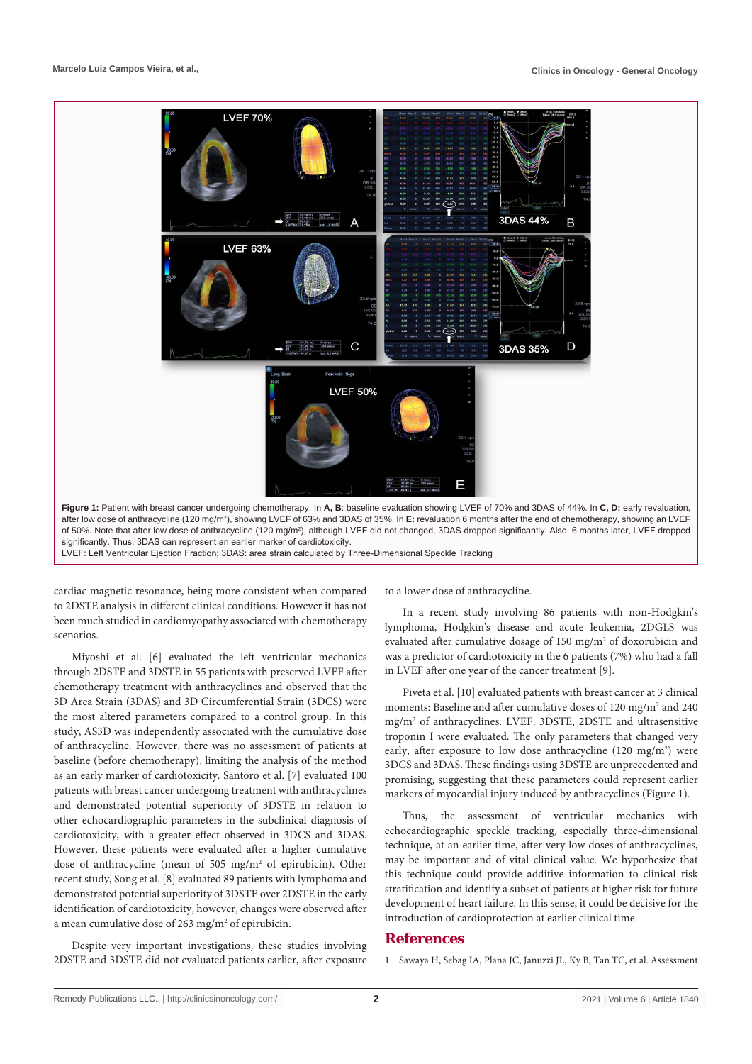

after low dose of anthracycline (120 mg/m2 ), showing LVEF of 63% and 3DAS of 35%. In **E:** revaluation 6 months after the end of chemotherapy, showing an LVEF of 50%. Note that after low dose of anthracycline (120 mg/m<sup>2</sup>), although LVEF did not changed, 3DAS dropped significantly. Also, 6 months later, LVEF dropped significantly. Thus, 3DAS can represent an earlier marker of cardiotoxicity.

LVEF: Left Ventricular Ejection Fraction; 3DAS: area strain calculated by Three-Dimensional Speckle Tracking

cardiac magnetic resonance, being more consistent when compared to 2DSTE analysis in different clinical conditions. However it has not been much studied in cardiomyopathy associated with chemotherapy scenarios.

Miyoshi et al. [6] evaluated the left ventricular mechanics through 2DSTE and 3DSTE in 55 patients with preserved LVEF after chemotherapy treatment with anthracyclines and observed that the 3D Area Strain (3DAS) and 3D Circumferential Strain (3DCS) were the most altered parameters compared to a control group. In this study, AS3D was independently associated with the cumulative dose of anthracycline. However, there was no assessment of patients at baseline (before chemotherapy), limiting the analysis of the method as an early marker of cardiotoxicity. Santoro et al. [7] evaluated 100 patients with breast cancer undergoing treatment with anthracyclines and demonstrated potential superiority of 3DSTE in relation to other echocardiographic parameters in the subclinical diagnosis of cardiotoxicity, with a greater effect observed in 3DCS and 3DAS. However, these patients were evaluated after a higher cumulative dose of anthracycline (mean of 505 mg/m<sup>2</sup> of epirubicin). Other recent study, Song et al. [8] evaluated 89 patients with lymphoma and demonstrated potential superiority of 3DSTE over 2DSTE in the early identification of cardiotoxicity, however, changes were observed after a mean cumulative dose of 263 mg/m<sup>2</sup> of epirubicin.

Despite very important investigations, these studies involving 2DSTE and 3DSTE did not evaluated patients earlier, after exposure to a lower dose of anthracycline.

In a recent study involving 86 patients with non-Hodgkin's lymphoma, Hodgkin's disease and acute leukemia, 2DGLS was evaluated after cumulative dosage of 150 mg/m<sup>2</sup> of doxorubicin and was a predictor of cardiotoxicity in the 6 patients (7%) who had a fall in LVEF after one year of the cancer treatment [9].

Piveta et al. [10] evaluated patients with breast cancer at 3 clinical moments: Baseline and after cumulative doses of 120 mg/m<sup>2</sup> and 240 mg/m2 of anthracyclines. LVEF, 3DSTE, 2DSTE and ultrasensitive troponin I were evaluated. The only parameters that changed very early, after exposure to low dose anthracycline  $(120 \text{ mg/m}^2)$  were 3DCS and 3DAS. These findings using 3DSTE are unprecedented and promising, suggesting that these parameters could represent earlier markers of myocardial injury induced by anthracyclines (Figure 1).

Thus, the assessment of ventricular mechanics with echocardiographic speckle tracking, especially three-dimensional technique, at an earlier time, after very low doses of anthracyclines, may be important and of vital clinical value. We hypothesize that this technique could provide additive information to clinical risk stratification and identify a subset of patients at higher risk for future development of heart failure. In this sense, it could be decisive for the introduction of cardioprotection at earlier clinical time.

#### **References**

1. [Sawaya H, Sebag IA, Plana JC, Januzzi JL, Ky B, Tan TC, et al. Assessment](https://pubmed.ncbi.nlm.nih.gov/22744937/)